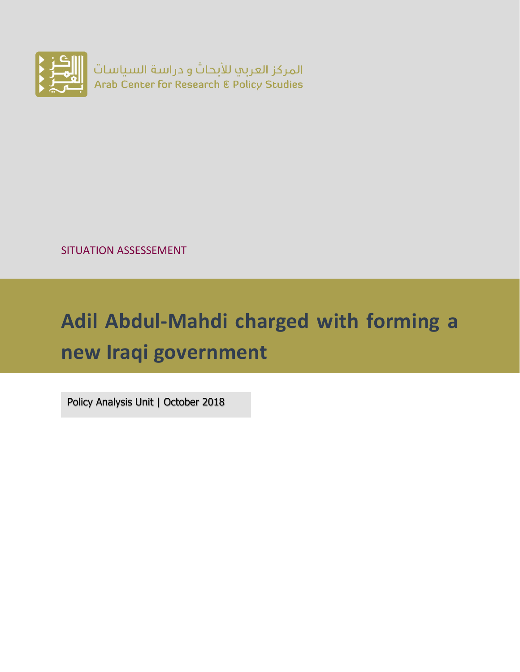

SITUATION ASSESSEMENT

# **Adil Abdul-Mahdi charged with forming a new Iraqi government**

Policy Analysis Unit | October 2018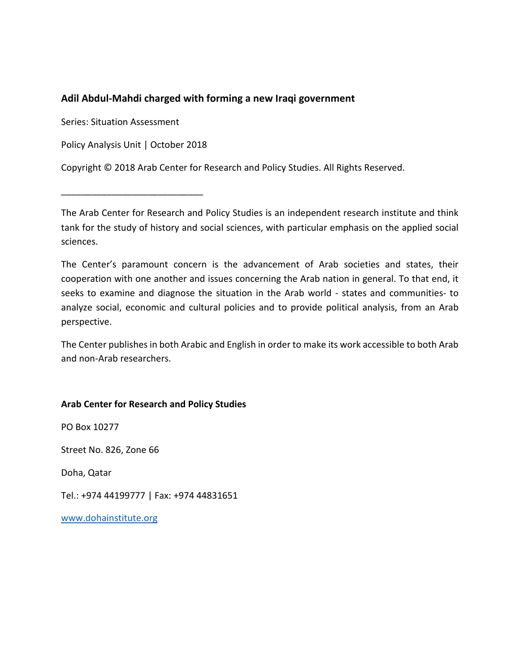#### **Adil Abdul-Mahdi charged with forming a new Iraqi government**

Series: Situation Assessment

Policy Analysis Unit | October 2018

Copyright © 2018 Arab Center for Research and Policy Studies. All Rights Reserved.

\_\_\_\_\_\_\_\_\_\_\_\_\_\_\_\_\_\_\_\_\_\_\_\_\_\_\_\_

The Arab Center for Research and Policy Studies is an independent research institute and think tank for the study of history and social sciences, with particular emphasis on the applied social sciences.

The Center's paramount concern is the advancement of Arab societies and states, their cooperation with one another and issues concerning the Arab nation in general. To that end, it seeks to examine and diagnose the situation in the Arab world - states and communities- to analyze social, economic and cultural policies and to provide political analysis, from an Arab perspective.

The Center publishes in both Arabic and English in order to make its work accessible to both Arab and non-Arab researchers.

#### **Arab Center for Research and Policy Studies**

PO Box 10277

Street No. 826, Zone 66

Doha, Qatar

Tel.: +974 44199777 | Fax: +974 44831651

www.dohainstitute.org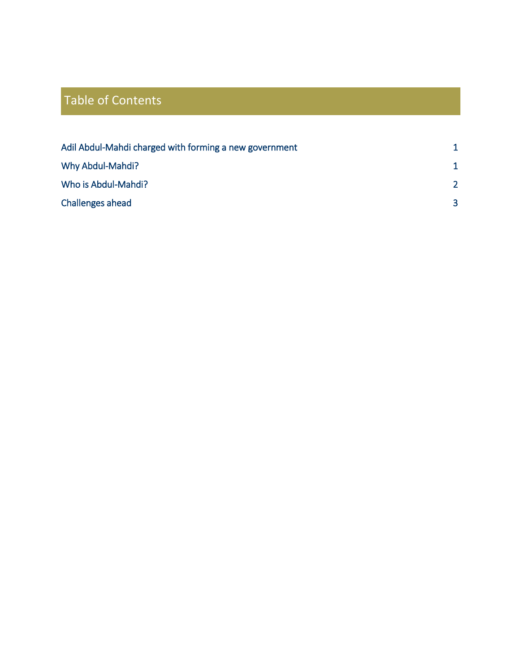## Table of Contents

| Adil Abdul-Mahdi charged with forming a new government | 1             |
|--------------------------------------------------------|---------------|
| Why Abdul-Mahdi?                                       | 1             |
| Who is Abdul-Mahdi?                                    | $\mathcal{P}$ |
| Challenges ahead                                       | 3             |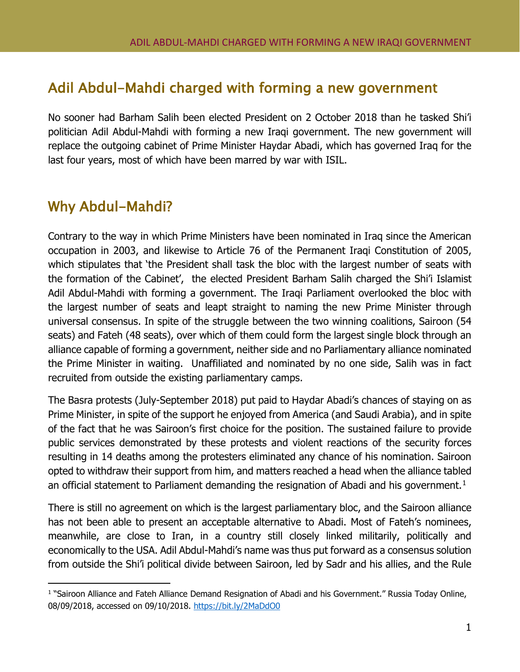### <span id="page-3-0"></span>Adil Abdul-Mahdi charged with forming a new government

No sooner had Barham Salih been elected President on 2 October 2018 than he tasked Shi'i politician Adil Abdul-Mahdi with forming a new Iraqi government. The new government will replace the outgoing cabinet of Prime Minister Haydar Abadi, which has governed Iraq for the last four years, most of which have been marred by war with ISIL.

### <span id="page-3-1"></span>Why Abdul-Mahdi?

Contrary to the way in which Prime Ministers have been nominated in Iraq since the American occupation in 2003, and likewise to Article 76 of the Permanent Iraqi Constitution of 2005, which stipulates that 'the President shall task the bloc with the largest number of seats with the formation of the Cabinet', the elected President Barham Salih charged the Shi'i Islamist Adil Abdul-Mahdi with forming a government. The Iraqi Parliament overlooked the bloc with the largest number of seats and leapt straight to naming the new Prime Minister through universal consensus. In spite of the struggle between the two winning coalitions, Sairoon (54 seats) and Fateh (48 seats), over which of them could form the largest single block through an alliance capable of forming a government, neither side and no Parliamentary alliance nominated the Prime Minister in waiting. Unaffiliated and nominated by no one side, Salih was in fact recruited from outside the existing parliamentary camps.

The Basra protests (July-September 2018) put paid to Haydar Abadi's chances of staying on as Prime Minister, in spite of the support he enjoyed from America (and Saudi Arabia), and in spite of the fact that he was Sairoon's first choice for the position. The sustained failure to provide public services demonstrated by these protests and violent reactions of the security forces resulting in 14 deaths among the protesters eliminated any chance of his nomination. Sairoon opted to withdraw their support from him, and matters reached a head when the alliance tabled an official statement to Parliament demanding the resignation of Abadi and his government.<sup>[1](#page-3-2)</sup>

There is still no agreement on which is the largest parliamentary bloc, and the Sairoon alliance has not been able to present an acceptable alternative to Abadi. Most of Fateh's nominees, meanwhile, are close to Iran, in a country still closely linked militarily, politically and economically to the USA. Adil Abdul-Mahdi's name was thus put forward as a consensus solution from outside the Shi'i political divide between Sairoon, led by Sadr and his allies, and the Rule

<span id="page-3-2"></span>I <sup>1</sup> "Sairoon Alliance and Fateh Alliance Demand Resignation of Abadi and his Government." Russia Today Online, 08/09/2018, accessed on 09/10/2018.<https://bit.ly/2MaDdO0>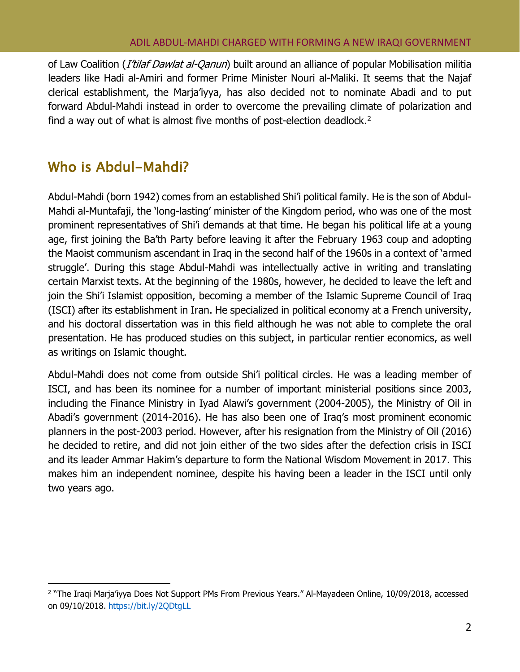#### ADIL ABDUL-MAHDI CHARGED WITH FORMING A NEW IRAQI GOVERNMENT

of Law Coalition (*I'tilaf Dawlat al-Qanun*) built around an alliance of popular Mobilisation militia leaders like Hadi al-Amiri and former Prime Minister Nouri al-Maliki. It seems that the Najaf clerical establishment, the Marja'iyya, has also decided not to nominate Abadi and to put forward Abdul-Mahdi instead in order to overcome the prevailing climate of polarization and find a way out of what is almost five months of post-election deadlock.[2](#page-4-1)

### <span id="page-4-0"></span>Who is Abdul-Mahdi?

Abdul-Mahdi (born 1942) comes from an established Shi'i political family. He is the son of Abdul-Mahdi al-Muntafaji, the 'long-lasting' minister of the Kingdom period, who was one of the most prominent representatives of Shi'i demands at that time. He began his political life at a young age, first joining the Ba'th Party before leaving it after the February 1963 coup and adopting the Maoist communism ascendant in Iraq in the second half of the 1960s in a context of 'armed struggle'. During this stage Abdul-Mahdi was intellectually active in writing and translating certain Marxist texts. At the beginning of the 1980s, however, he decided to leave the left and join the Shi'i Islamist opposition, becoming a member of the Islamic Supreme Council of Iraq (ISCI) after its establishment in Iran. He specialized in political economy at a French university, and his doctoral dissertation was in this field although he was not able to complete the oral presentation. He has produced studies on this subject, in particular rentier economics, as well as writings on Islamic thought.

Abdul-Mahdi does not come from outside Shi'i political circles. He was a leading member of ISCI, and has been its nominee for a number of important ministerial positions since 2003, including the Finance Ministry in Iyad Alawi's government (2004-2005), the Ministry of Oil in Abadi's government (2014-2016). He has also been one of Iraq's most prominent economic planners in the post-2003 period. However, after his resignation from the Ministry of Oil (2016) he decided to retire, and did not join either of the two sides after the defection crisis in ISCI and its leader Ammar Hakim's departure to form the National Wisdom Movement in 2017. This makes him an independent nominee, despite his having been a leader in the ISCI until only two years ago.

<span id="page-4-1"></span>I <sup>2</sup> "The Iraqi Marja'iyya Does Not Support PMs From Previous Years." Al-Mayadeen Online, 10/09/2018, accessed on 09/10/2018. <https://bit.ly/2QDtgLL>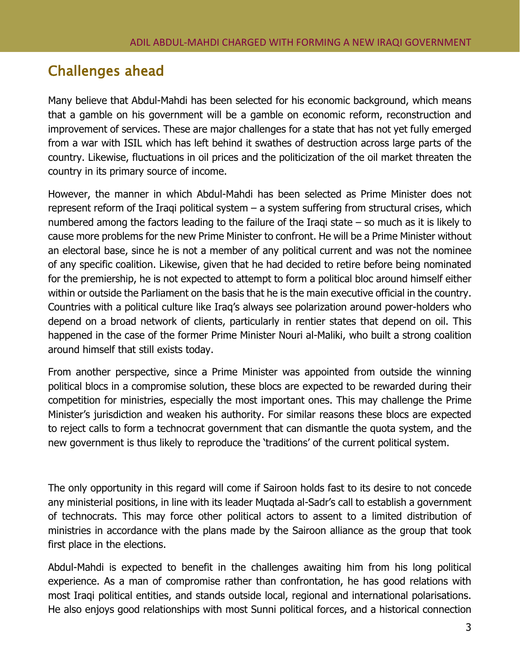### <span id="page-5-0"></span>Challenges ahead

Many believe that Abdul-Mahdi has been selected for his economic background, which means that a gamble on his government will be a gamble on economic reform, reconstruction and improvement of services. These are major challenges for a state that has not yet fully emerged from a war with ISIL which has left behind it swathes of destruction across large parts of the country. Likewise, fluctuations in oil prices and the politicization of the oil market threaten the country in its primary source of income.

However, the manner in which Abdul-Mahdi has been selected as Prime Minister does not represent reform of the Iraqi political system – a system suffering from structural crises, which numbered among the factors leading to the failure of the Iraqi state – so much as it is likely to cause more problems for the new Prime Minister to confront. He will be a Prime Minister without an electoral base, since he is not a member of any political current and was not the nominee of any specific coalition. Likewise, given that he had decided to retire before being nominated for the premiership, he is not expected to attempt to form a political bloc around himself either within or outside the Parliament on the basis that he is the main executive official in the country. Countries with a political culture like Iraq's always see polarization around power-holders who depend on a broad network of clients, particularly in rentier states that depend on oil. This happened in the case of the former Prime Minister Nouri al-Maliki, who built a strong coalition around himself that still exists today.

From another perspective, since a Prime Minister was appointed from outside the winning political blocs in a compromise solution, these blocs are expected to be rewarded during their competition for ministries, especially the most important ones. This may challenge the Prime Minister's jurisdiction and weaken his authority. For similar reasons these blocs are expected to reject calls to form a technocrat government that can dismantle the quota system, and the new government is thus likely to reproduce the 'traditions' of the current political system.

The only opportunity in this regard will come if Sairoon holds fast to its desire to not concede any ministerial positions, in line with its leader Muqtada al-Sadr's call to establish a government of technocrats. This may force other political actors to assent to a limited distribution of ministries in accordance with the plans made by the Sairoon alliance as the group that took first place in the elections.

Abdul-Mahdi is expected to benefit in the challenges awaiting him from his long political experience. As a man of compromise rather than confrontation, he has good relations with most Iraqi political entities, and stands outside local, regional and international polarisations. He also enjoys good relationships with most Sunni political forces, and a historical connection